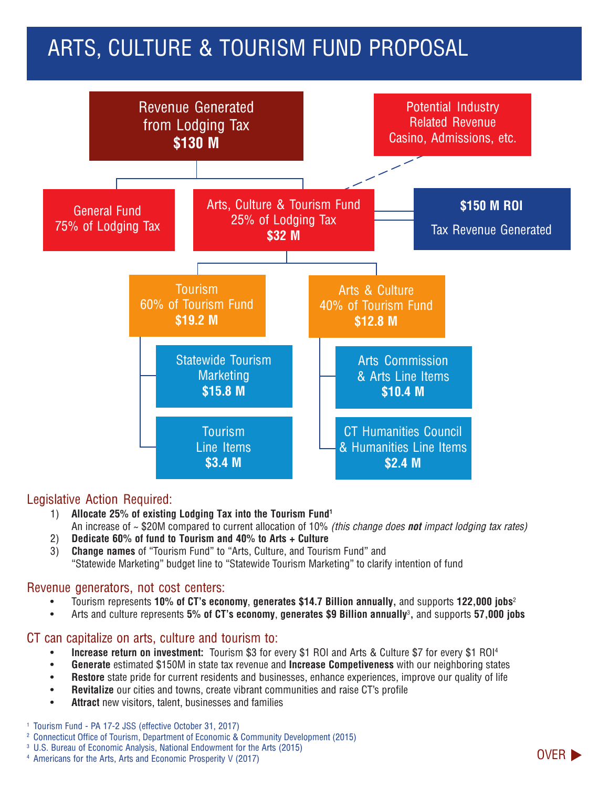# ARTS, CULTURE & TOURISM FUND PROPOSAL



### Legislative Action Required:

- 1) **Allocate 25% of existing Lodging Tax into the Tourism Fund1** An increase of ~ \$20M compared to current allocation of 10% *(this change does not impact lodging tax rates)*
- 2) **Dedicate 60% of fund to Tourism and 40% to Arts + Culture**
- 3) **Change names** of "Tourism Fund" to "Arts, Culture, and Tourism Fund" and "Statewide Marketing" budget line to "Statewide Tourism Marketing" to clarify intention of fund

#### Revenue generators, not cost centers:

- Tourism represents **10% of CT's economy**, **generates \$14.7 Billion annually,** and supports **122,000 jobs**<sup>2</sup>
- Arts and culture represents **5% of CT's economy**, **generates \$9 Billion annually**<sup>3</sup> **,** and supports **57,000 jobs**

#### CT can capitalize on arts, culture and tourism to:

- **Increase return on investment:** Tourism \$3 for every \$1 ROI and Arts & Culture \$7 for every \$1 ROI4
- **Generate** estimated \$150M in state tax revenue and **Increase Competiveness** with our neighboring states
- **Restore** state pride for current residents and businesses, enhance experiences, improve our quality of life
- **Revitalize** our cities and towns, create vibrant communities and raise CT's profile
- Attract new visitors, talent, businesses and families
- <sup>1</sup> Tourism Fund PA 17-2 JSS (effective October 31, 2017)
- <sup>2</sup> Connecticut Office of Tourism, Department of Economic & Community Development (2015)
- <sup>3</sup> U.S. Bureau of Economic Analysis, National Endowment for the Arts (2015)
- 4 Americans for the Arts, Arts and Economic Prosperity V (2017) **OVER**